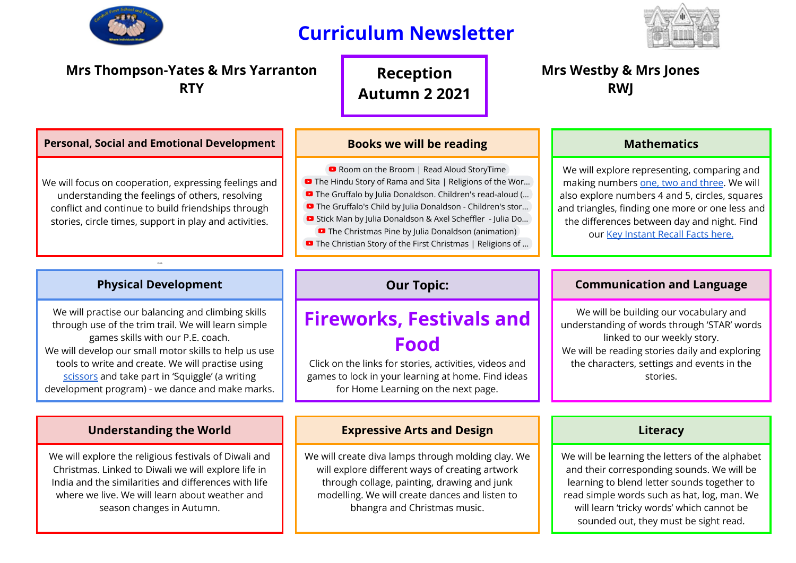

## **Curriculum Newsletter**



## **Mrs Thompson-Yates & Mrs Yarranton RTY**

**Reception Autumn 2 2021**

### **Personal, Social and Emotional Development Books we will be reading Resonal, Social and Emotional Development Books we will be reading**

**D** Room on the Broom | Read Aloud [StoryTime](https://www.youtube.com/watch?v=-0GQO5Jo0o0) ■ The Hindu Story of Rama and Sita | [Religions](https://www.youtube.com/watch?v=uRpNNF4fB4g) of the Wor... ■ The Gruffalo by Julia [Donaldson.](https://www.youtube.com/watch?v=X_EM-iZNguo) Children's read-aloud (... ■ The Gruffalo's Child by Julia [Donaldson](https://www.youtube.com/watch?v=5tM34biTCRg) - Children's stor... ■ Stick Man by Julia [Donaldson](https://www.youtube.com/watch?v=o3lCfKhsOsY) & Axel Scheffler - Julia Do... **D** The Christmas Pine by Julia Donaldson [\(animation\)](https://www.youtube.com/watch?v=KOrrgElAkMc) ■ The Christian Story of the First [Christmas](https://www.youtube.com/watch?v=FrTFAZPQxpE) | Religions of ...

**Mrs Westby & Mrs Jones RWJ**

> We will explore representing, comparing and making numbers one, two and [three](https://wrm-13b48.kxcdn.com/wp-content/uploads/2020/10/PDF-Phase-2-Week-1-Session-4.pdf). We will also explore numbers 4 and 5, circles, squares and triangles, finding one more or one less and the differences between day and night. Find our Key [Instant](https://drive.google.com/file/d/0B5k1jeZvAJkCLVE4NjZRU1ZTa3NBckNwQmN4cTNFOE5oWGFR/view?usp=sharing) Recall Facts here.

Or th

We will focus on cooperation, expressing feelings and understanding the feelings of others, resolving conflict and continue to build friendships through stories, circle times, support in play and activities.

We will practise our balancing and climbing skills through use of the trim trail. We will learn simple games skills with our P.E. coach. We will develop our small motor skills to help us use tools to write and create. We will practise using [scissors](https://www.nhsggc.org.uk/kids/resources/ot-activityinformation-sheets/scissor-skills/) and take part in 'Squiggle' (a writing development program) - we dance and make marks.

We will explore the religious festivals of Diwali and Christmas. Linked to Diwali we will explore life in India and the similarities and differences with life where we live. We will learn about weather and season changes in Autumn.

## **Fireworks, Festivals and Food**

Click on the links for stories, activities, videos and games to lock in your learning at home. Find ideas for Home Learning on the next page.

### **Understanding the World Expressive Arts and Design Literacy**

We will create diva lamps through molding clay. We will explore different ways of creating artwork through collage, painting, drawing and junk modelling. We will create dances and listen to bhangra and Christmas music.

### **Physical Development Our Topic: Communication and Language**

We will be building our vocabulary and understanding of words through 'STAR' words linked to our weekly story. We will be reading stories daily and exploring the characters, settings and events in the stories.

We will be learning the letters of the alphabet and their corresponding sounds. We will be learning to blend letter sounds together to read simple words such as hat, log, man. We will learn 'tricky words' which cannot be sounded out, they must be sight read.